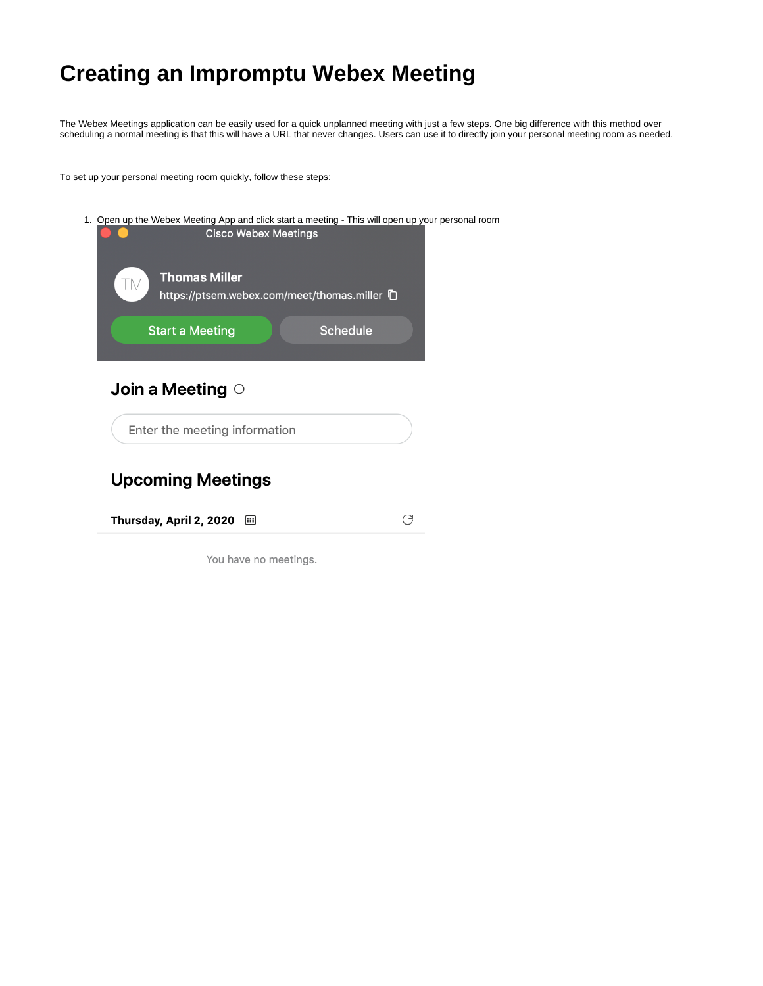## **Creating an Impromptu Webex Meeting**

The Webex Meetings application can be easily used for a quick unplanned meeting with just a few steps. One big difference with this method over scheduling a normal meeting is that this will have a URL that never changes. Users can use it to directly join your personal meeting room as needed.

To set up your personal meeting room quickly, follow these steps:



## **Upcoming Meetings**

Thursday, April 2, 2020 画 C

You have no meetings.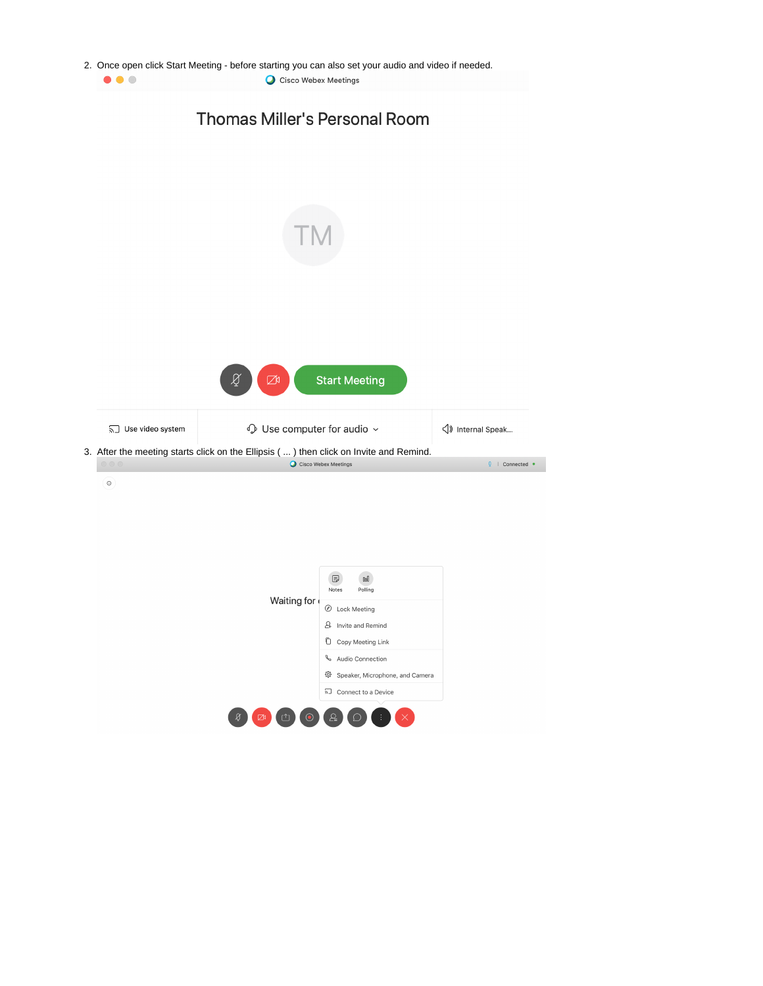